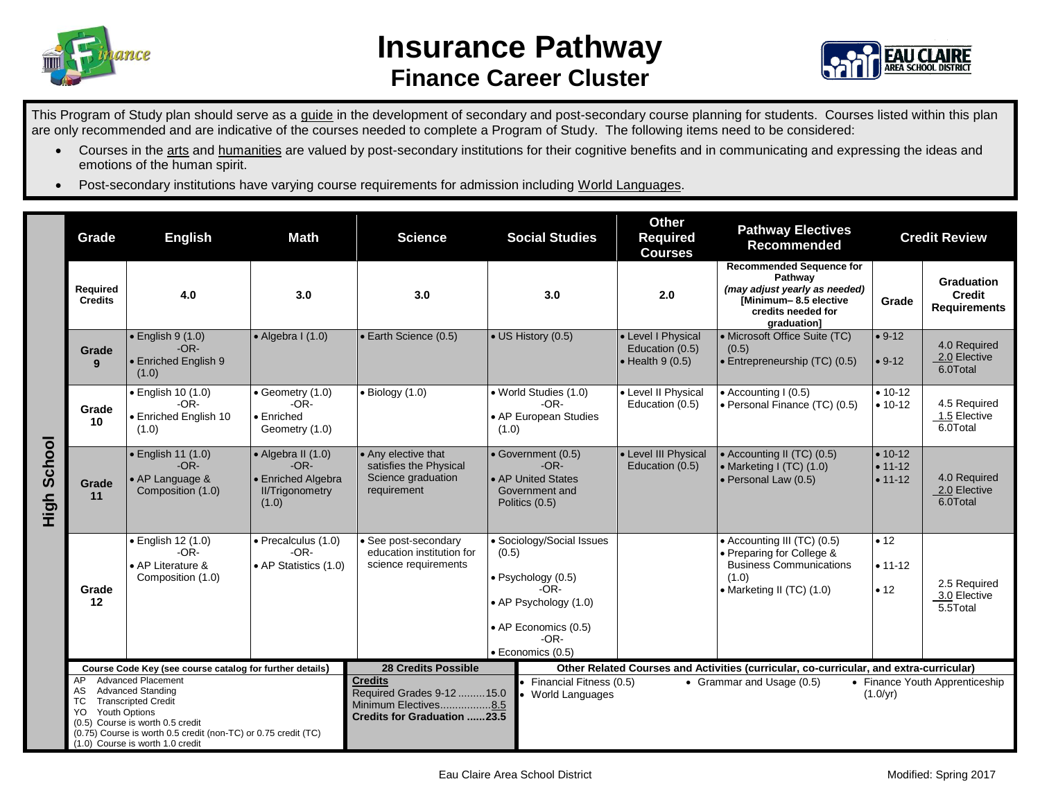



This Program of Study plan should serve as a guide in the development of secondary and post-secondary course planning for students. Courses listed within this plan are only recommended and are indicative of the courses needed to complete a Program of Study. The following items need to be considered:

- Courses in the arts and humanities are valued by post-secondary institutions for their cognitive benefits and in communicating and expressing the ideas and emotions of the human spirit.
- Post-secondary institutions have varying course requirements for admission including World Languages.

|                | Grade                                                                                                                                                                                                                                                                    | <b>English</b>                                                                 | <b>Math</b>                                                                                   | <b>Science</b>                                                                                      | <b>Social Studies</b>                                                                                                                                      |                                                                                                    | <b>Other</b><br><b>Required</b><br><b>Courses</b>                                      | <b>Pathway Electives</b><br><b>Recommended</b>                                                                                            | <b>Credit Review</b>                      |                                                    |
|----------------|--------------------------------------------------------------------------------------------------------------------------------------------------------------------------------------------------------------------------------------------------------------------------|--------------------------------------------------------------------------------|-----------------------------------------------------------------------------------------------|-----------------------------------------------------------------------------------------------------|------------------------------------------------------------------------------------------------------------------------------------------------------------|----------------------------------------------------------------------------------------------------|----------------------------------------------------------------------------------------|-------------------------------------------------------------------------------------------------------------------------------------------|-------------------------------------------|----------------------------------------------------|
| School<br>High | Required<br><b>Credits</b>                                                                                                                                                                                                                                               | 4.0                                                                            | 3.0                                                                                           | 3.0                                                                                                 |                                                                                                                                                            | 3.0                                                                                                | 2.0                                                                                    | <b>Recommended Sequence for</b><br>Pathway<br>(may adjust yearly as needed)<br>[Minimum-8.5 elective<br>credits needed for<br>araduation1 | Grade                                     | <b>Graduation</b><br>Credit<br><b>Requirements</b> |
|                | Grade<br>9                                                                                                                                                                                                                                                               | $\bullet$ English 9 (1.0)<br>$-OR-$<br>• Enriched English 9<br>(1.0)           | $\bullet$ Algebra I (1.0)                                                                     | • Earth Science (0.5)                                                                               |                                                                                                                                                            | • US History (0.5)                                                                                 | • Level I Physical<br>Education (0.5)<br>$\bullet$ Health 9 (0.5)                      | • Microsoft Office Suite (TC)<br>(0.5)<br>• Entrepreneurship (TC) (0.5)                                                                   | $• 9-12$<br>$• 9-12$                      | 4.0 Required<br>2.0 Elective<br>6.0Total           |
|                | Grade<br>10                                                                                                                                                                                                                                                              | • English 10 (1.0)<br>$-OR-$<br>• Enriched English 10<br>(1.0)                 | • Geometry (1.0)<br>$-OR-$<br>$\bullet$ Enriched<br>Geometry (1.0)                            | $\bullet$ Biology (1.0)                                                                             | (1.0)                                                                                                                                                      | • World Studies (1.0)<br>• Level II Physical<br>$-OR-$<br>Education (0.5)<br>• AP European Studies |                                                                                        | • Accounting I (0.5)<br>• Personal Finance (TC) (0.5)                                                                                     | $• 10-12$<br>$• 10-12$                    | 4.5 Required<br>1.5 Elective<br>6.0Total           |
|                | Grade<br>11                                                                                                                                                                                                                                                              | · English 11 (1.0)<br>$-OR-$<br>• AP Language &<br>Composition (1.0)           | $\bullet$ Algebra II (1.0)<br>$-OR-$<br>• Enriched Algebra<br><b>II/Trigonometry</b><br>(1.0) | • Any elective that<br>satisfies the Physical<br>Science graduation<br>requirement                  | • Government (0.5)<br>$-OR-$<br>• AP United States<br>Government and<br>Politics (0.5)                                                                     |                                                                                                    | • Level III Physical<br>Education (0.5)                                                | • Accounting II (TC) (0.5)<br>• Marketing I (TC) (1.0)<br>• Personal Law (0.5)                                                            | $• 10 - 12$<br>$• 11 - 12$<br>$• 11 - 12$ | 4.0 Required<br>2.0 Elective<br>6.0Total           |
|                | Grade<br>12                                                                                                                                                                                                                                                              | $\bullet$ English 12 (1.0)<br>$-OR-$<br>• AP Literature &<br>Composition (1.0) | · Precalculus (1.0)<br>$-OR-$<br>• AP Statistics (1.0)                                        | · See post-secondary<br>education institution for<br>science requirements                           | · Sociology/Social Issues<br>(0.5)<br>$\bullet$ Psychology (0.5)<br>$-OR-$<br>• AP Psychology (1.0)<br>• AP Economics (0.5)<br>$-OR-$<br>· Economics (0.5) |                                                                                                    |                                                                                        | • Accounting III (TC) (0.5)<br>• Preparing for College &<br><b>Business Communications</b><br>(1.0)<br>• Marketing II (TC) (1.0)          | • 12<br>$• 11 - 12$<br>•12                | 2.5 Required<br>3.0 Elective<br>5.5Total           |
|                | Course Code Key (see course catalog for further details)                                                                                                                                                                                                                 |                                                                                |                                                                                               | <b>28 Credits Possible</b>                                                                          |                                                                                                                                                            |                                                                                                    | Other Related Courses and Activities (curricular, co-curricular, and extra-curricular) |                                                                                                                                           |                                           |                                                    |
|                | <b>Advanced Placement</b><br>AP<br><b>Advanced Standing</b><br>AS.<br><b>Transcripted Credit</b><br>ТC<br>Youth Options<br>YO.<br>(0.5) Course is worth 0.5 credit<br>(0.75) Course is worth 0.5 credit (non-TC) or 0.75 credit (TC)<br>(1.0) Course is worth 1.0 credit |                                                                                |                                                                                               | <b>Credits</b><br>Required Grades 9-12  15.0<br>Minimum Electives8.5<br>Credits for Graduation 23.5 | Financial Fitness (0.5)<br>World Languages                                                                                                                 |                                                                                                    | • Grammar and Usage (0.5)                                                              | (1.0/yr)                                                                                                                                  | • Finance Youth Apprenticeship            |                                                    |